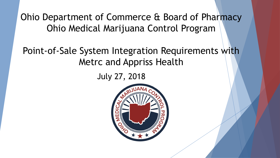Ohio Department of Commerce & Board of Pharmacy Ohio Medical Marijuana Control Program

Point-of-Sale System Integration Requirements with Metrc and Appriss Health

July 27, 2018

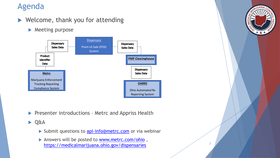## Agenda

- ▶ Welcome, thank you for attending
	- **Meeting purpose**



- **Presenter introductions Metrc and Appriss Health**
- ▶ Q&A
	- Submit questions to [api-info@metrc.com](mailto:api-info@metrc.com) or via webinar
	- Answers will be posted to [www.metrc.com/ohio](http://www.metrc.com/ohio), <https://medicalmarijuana.ohio.gov/dispensaries> 2002/2012

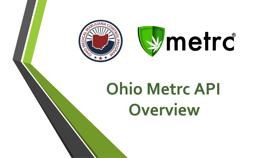



# **Ohio Metrc API** Overview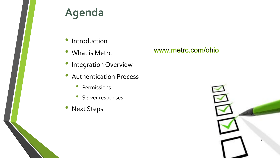## **Agenda**

- Introduction
- What is Metrc
- Integration Overview
- Authentication Process
	- Permissions
	- Server responses
- Next Steps

## www.metrc.com/ohio

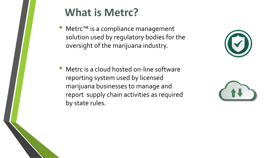## **What is Metrc?**

- Metrc<sup>™</sup> is a compliance management solution used by regulatory bodies for the oversight of the marijuana industry.
- Metrc is a cloud hosted on-line software reporting system used by licensed marijuana businesses to manage and report supply chain activities as required by state rules.



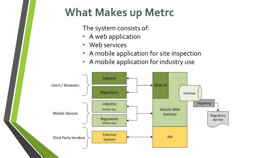## **What Makes up Metrc**

The system consists of:

- A web application
- Web services
- A mobile application for site inspection
- A mobile application for industry use

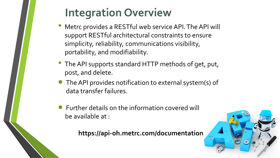## **Integration Overview**

- Metrc provides a RESTful web service API. The API will support RESTful architectural constraints to ensure simplicity, reliability, communications visibility, portability, and modifiability.
- The API supports standard HTTP methods of get, put, post, and delete.
- The API provides notification to external system(s) of data transfer failures.
- Further details on the information covered will be available at :

## **https://api-oh.metrc.com/documentation**

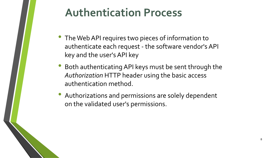## **Authentication Process**

- The Web API requires two pieces of information to authenticate each request - the software vendor's API key and the user's API key
- Both authenticating API keys must be sent through the *Authorization* HTTP header using the basic access authentication method.
- Authorizations and permissions are solely dependent on the validated user's permissions.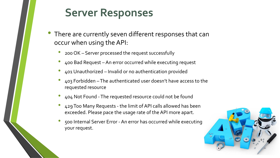## **Server Responses**

- There are currently seven different responses that can occur when using the API:
	- 200 OK Server processed the request successfully
	- 400 Bad Request –An error occurred while executing request
	- 401 Unauthorized Invalid or no authentication provided
	- 403 Forbidden –The authenticated user doesn't have access to the requested resource
	- 404 Not Found -The requested resource could not be found
	- 429 Too Many Requests the limit of API calls allowed has been exceeded. Please pace the usage rate of the API more apart.
	- 500 Internal Server Error An error has occurred while executing your request.

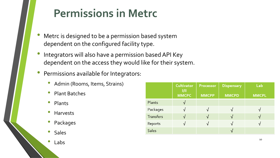## **Permissions in Metrc**

- Metrc is designed to be a permission based system dependent on the configured facility type.
- Integrators will also have a permission based API Key dependent on the access they would like for their system.
- Permissions available for Integrators:
	- Admin (Rooms, Items, Strains)
	- Plant Batches
	- Plants
	- Harvests
	- **Packages**
	- Sales
	- Labs  $10$

|           | Cultivator<br>1/11<br><b>MMCPC</b> | Processor<br><b>MMCPP</b> | <b>Dispensary</b><br><b>MMCPD</b> | Lab<br><b>MMCPL</b> |
|-----------|------------------------------------|---------------------------|-----------------------------------|---------------------|
|           |                                    |                           |                                   |                     |
| Plants    |                                    |                           |                                   |                     |
| Packages  |                                    |                           | ν                                 |                     |
| Transfers |                                    |                           |                                   |                     |
| Reports   |                                    |                           |                                   |                     |
| Sales     |                                    |                           |                                   |                     |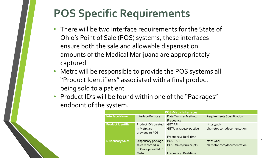## **POS Specific Requirements**

- There will be two interface requirements for the State of Ohio's Point of Sale (POS) systems, these interfaces ensure both the sale and allowable dispensation amounts of the Medical Marijuana are appropriately captured
- Metrc will be responsible to provide the POS systems all "Product Identifiers" associated with a final product being sold to a patient
- Product ID's will be found within one of the "Packages" endpoint of the system.

| <b>POS-Metrc Interfaces</b> |                                                                         |                                                                  |                                            |  |  |  |  |
|-----------------------------|-------------------------------------------------------------------------|------------------------------------------------------------------|--------------------------------------------|--|--|--|--|
| <b>Interface Name</b>       | Interface Purpose                                                       | Data Transfer Method,<br>Frequency                               | <b>Requirements Specification</b>          |  |  |  |  |
| <b>Product Identifier</b>   | Product ID's created<br>in Metrc are<br>provided to POS                 | <b>GET API</b><br>GET/packages/v1/active<br>Frequency: Real-time | https://api-<br>oh.metrc.com/documentation |  |  |  |  |
| <b>Dispensary Sales</b>     | Dispensary package<br>sales recorded in<br>POS are provided to<br>Metrc | POST API<br>POST/sales/v1/receipts<br>Frequency: Real-time       | https://api-<br>oh.metrc.com/documentation |  |  |  |  |

11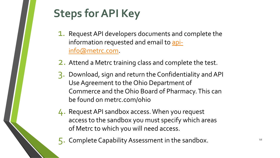## **Steps for API Key**

- 1. Request API developers documents and complete the [information requested and email to api](mailto:api-info@metrc.com)info@metrc.com.
- 2. Attend a Metrc training class and complete the test.
- 3. Download, sign and return the Confidentiality and API Use Agreement to the Ohio Department of Commerce and the Ohio Board of Pharmacy. This can be found on metrc.com/ohio
- 4. Request API sandbox access. When you request access to the sandbox you must specify which areas of Metrc to which you will need access.
- 5. Complete Capability Assessment in the sandbox.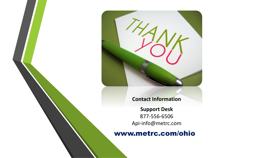

### **Contact Information**

**Support Desk** 877-556-6506 Api-info@metrc.com

### www.metrc.com/ohio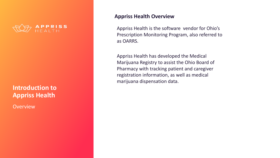

### **Introduction to Appriss Health**

**Overview** 

#### **Appriss Health Overview**

Appriss Health is the software vendor for Ohio's Prescription Monitoring Program, also referred to as OARRS.

Appriss Health has developed the Medical Marijuana Registry to assist the Ohio Board of Pharmacy with tracking patient and caregiver registration information, as well as medical marijuana dispensation data.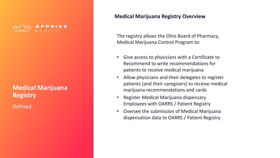

Defined

#### **Medical Marijuana Registry Overview**

The registry allows the Ohio Board of Pharmacy, Medical Marijuana Control Program to:

- Give access to physicians with a Certificate to Recommend to write recommendations for patients to receive medical marijuana
- Allow physicians and their delegates to register patients (and their caregivers) to receive medical marijuana recommendations and cards
- Register Medical Marijuana dispensary Employees with OARRS / Patient Registry
- Oversee the submission of Medical Marijuana dispensation data to OARRS / Patient Registry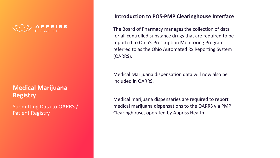

Submitting Data to OARRS / Patient Registry

#### **Introduction to POS-PMP Clearinghouse Interface**

The Board of Pharmacy manages the collection of data for all controlled substance drugs that are required to be reported to Ohio's Prescription Monitoring Program, referred to as the Ohio Automated Rx Reporting System (OARRS).

Medical Marijuana dispensation data will now also be included in OARRS.

Medical marijuana dispensaries are required to report medical marijuana dispensations to the OARRS via PMP Clearinghouse, operated by Appriss Health.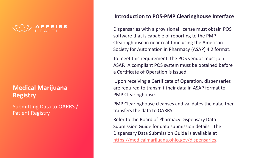

Submitting Data to OARRS / Patient Registry

#### **Introduction to POS-PMP Clearinghouse Interface**

Dispensaries with a provisional license must obtain POS software that is capable of reporting to the PMP Clearinghouse in near real-time using the American Society for Automation in Pharmacy (ASAP) 4.2 format.

To meet this requirement, the POS vendor must join ASAP. A compliant POS system must be obtained before a Certificate of Operation is issued.

Upon receiving a Certificate of Operation, dispensaries are required to transmit their data in ASAP format to PMP Clearinghouse.

PMP Clearinghouse cleanses and validates the data, then transfers the data to OARRS.

Refer to the Board of Pharmacy Dispensary Data Submission Guide for data submission details. The Dispensary Data Submission Guide is available at <https://medicalmarijuana.ohio.gov/dispensaries>.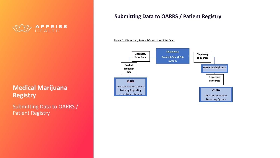

Submitting Data to OARRS / Patient Registry

#### **Submitting Data to OARRS / Patient Registry**

#### Figure 1. Dispensary Point-of-Sale system interfaces

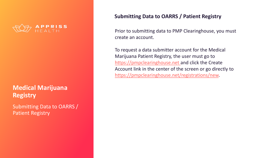

Submitting Data to OARRS / Patient Registry

#### **Submitting Data to OARRS / Patient Registry**

Prior to submitting data to PMP Clearinghouse, you must create an account.

To request a data submitter account for the Medical Marijuana Patient Registry, the user must go to [https://pmpclearinghouse.net](https://pmpclearinghouse.net/) and click the Create Account link in the center of the screen or go directly to [https://pmpclearinghouse.net/registrations/new.](https://pmpclearinghouse.net/registrations/new)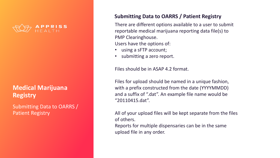

Submitting Data to OARRS / Patient Registry

#### **Submitting Data to OARRS / Patient Registry**

There are different options available to a user to submit reportable medical marijuana reporting data file(s) to PMP Clearinghouse. Users have the options of:

- using a sFTP account;
- submitting a zero report.

Files should be in ASAP 4.2 format.

Files for upload should be named in a unique fashion, with a prefix constructed from the date (YYYYMMDD) and a suffix of ".dat". An example file name would be "20110415.dat".

All of your upload files will be kept separate from the files of others.

Reports for multiple dispensaries can be in the same upload file in any order.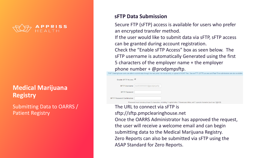

Submitting Data to OARRS / Patient Registry

#### **sFTP Data Submission**

Secure FTP (sFTP) access is available for users who prefer an encrypted transfer method.

If the user would like to submit data via sFTP, sFTP access can be granted during account registration.

Check the "Enable sFTP Access" box as seen below. The sFTP username is automatically Generated using the first 5 characters of the employer name + the employer phone number + @prodpmpsftp.

| Enable SFTP Access ■       |                            |
|----------------------------|----------------------------|
| <b>SFTP Username</b>       | test5555555556@prodpmpsftp |
| <b>SFTP Password</b>       |                            |
| SFTP Password Confirmation |                            |
|                            |                            |

capital letter, 1 lowercase letter, and 1 special character

#### The URL to connect via sFTP is sftp://sftp.pmpclearinghouse.net

Once the OARRS Administrator has approved the request, the user will receive a welcome email and can begin submitting data to the Medical Marijuana Registry. Zero Reports can also be submitted via sFTP using the ASAP Standard for Zero Reports.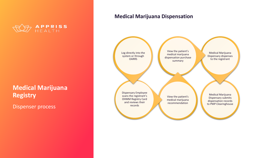

Dispenser process

#### **Medical Marijuana Dispensation**

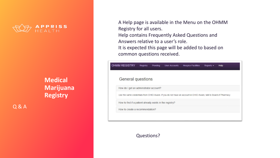

Q & A

A Help page is available in the Menu on the OHMM Registry for all users. Help contains Frequently Asked Questions and Answers relative to a user's role. It is expected this page will be added to based on common questions received.

| <b>OHMM REGISTRY</b>                                     | Registry                                                                                                         | Pending | <b>User Accounts</b> | <b>Hospice Facilities</b> | Reports $\sim$ | <b>Help</b> |  |
|----------------------------------------------------------|------------------------------------------------------------------------------------------------------------------|---------|----------------------|---------------------------|----------------|-------------|--|
| General questions                                        |                                                                                                                  |         |                      |                           |                |             |  |
|                                                          | How do I get an administrator account?                                                                           |         |                      |                           |                |             |  |
|                                                          | Use the same credentials from OHIO Aware. If you do not have an account in OHIO Aware, talk to Board of Pharmacy |         |                      |                           |                |             |  |
| How to find if a patient already exists in the registry? |                                                                                                                  |         |                      |                           |                |             |  |
| How to create a recommendation?                          |                                                                                                                  |         |                      |                           |                |             |  |
|                                                          |                                                                                                                  |         |                      |                           |                |             |  |

#### Questions?